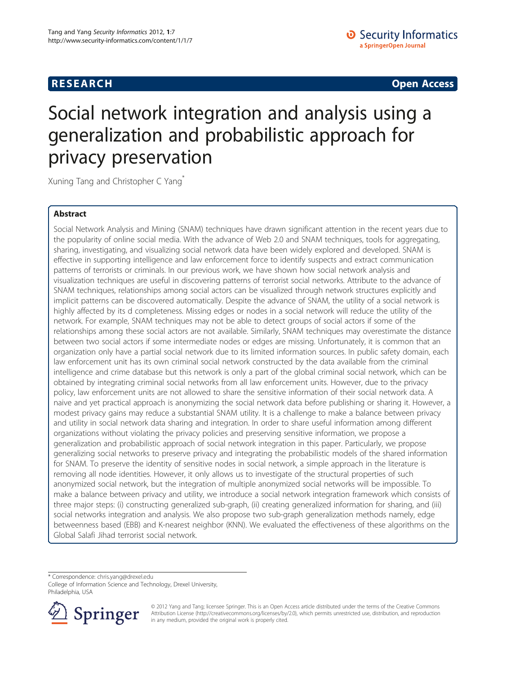## R E S EAR CH Open Access

# Social network integration and analysis using a generalization and probabilistic approach for privacy preservation

Xuning Tang and Christopher C Yang<sup>®</sup>

## Abstract

Social Network Analysis and Mining (SNAM) techniques have drawn significant attention in the recent years due to the popularity of online social media. With the advance of Web 2.0 and SNAM techniques, tools for aggregating, sharing, investigating, and visualizing social network data have been widely explored and developed. SNAM is effective in supporting intelligence and law enforcement force to identify suspects and extract communication patterns of terrorists or criminals. In our previous work, we have shown how social network analysis and visualization techniques are useful in discovering patterns of terrorist social networks. Attribute to the advance of SNAM techniques, relationships among social actors can be visualized through network structures explicitly and implicit patterns can be discovered automatically. Despite the advance of SNAM, the utility of a social network is highly affected by its d completeness. Missing edges or nodes in a social network will reduce the utility of the network. For example, SNAM techniques may not be able to detect groups of social actors if some of the relationships among these social actors are not available. Similarly, SNAM techniques may overestimate the distance between two social actors if some intermediate nodes or edges are missing. Unfortunately, it is common that an organization only have a partial social network due to its limited information sources. In public safety domain, each law enforcement unit has its own criminal social network constructed by the data available from the criminal intelligence and crime database but this network is only a part of the global criminal social network, which can be obtained by integrating criminal social networks from all law enforcement units. However, due to the privacy policy, law enforcement units are not allowed to share the sensitive information of their social network data. A naive and yet practical approach is anonymizing the social network data before publishing or sharing it. However, a modest privacy gains may reduce a substantial SNAM utility. It is a challenge to make a balance between privacy and utility in social network data sharing and integration. In order to share useful information among different organizations without violating the privacy policies and preserving sensitive information, we propose a generalization and probabilistic approach of social network integration in this paper. Particularly, we propose generalizing social networks to preserve privacy and integrating the probabilistic models of the shared information for SNAM. To preserve the identity of sensitive nodes in social network, a simple approach in the literature is removing all node identities. However, it only allows us to investigate of the structural properties of such anonymized social network, but the integration of multiple anonymized social networks will be impossible. To make a balance between privacy and utility, we introduce a social network integration framework which consists of three major steps: (i) constructing generalized sub-graph, (ii) creating generalized information for sharing, and (iii) social networks integration and analysis. We also propose two sub-graph generalization methods namely, edge betweenness based (EBB) and K-nearest neighbor (KNN). We evaluated the effectiveness of these algorithms on the Global Salafi Jihad terrorist social network.

\* Correspondence: [chris.yang@drexel.edu](mailto:chris.yang@drexel.edu)

College of Information Science and Technology, Drexel University, Philadelphia, USA



© 2012 Yang and Tang; licensee Springer. This is an Open Access article distributed under the terms of the Creative Commons Attribution License [\(http://creativecommons.org/licenses/by/2.0\)](http://creativecommons.org/licenses/by/2.0), which permits unrestricted use, distribution, and reproduction in any medium, provided the original work is properly cited.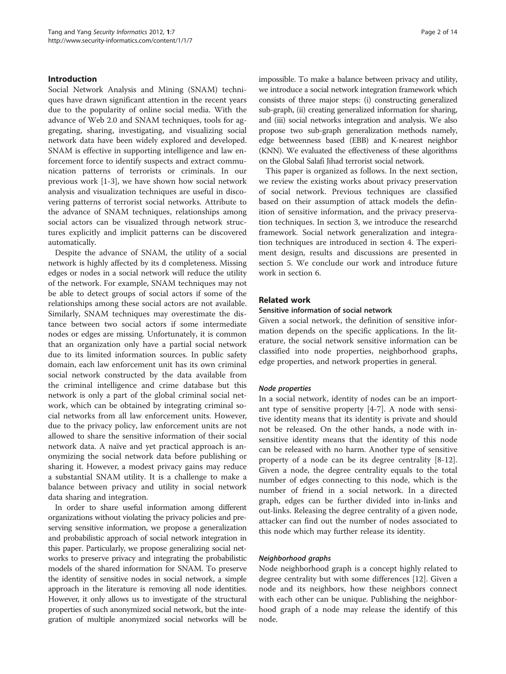## Introduction

Social Network Analysis and Mining (SNAM) techniques have drawn significant attention in the recent years due to the popularity of online social media. With the advance of Web 2.0 and SNAM techniques, tools for aggregating, sharing, investigating, and visualizing social network data have been widely explored and developed. SNAM is effective in supporting intelligence and law enforcement force to identify suspects and extract communication patterns of terrorists or criminals. In our previous work [[1-3](#page-12-0)], we have shown how social network analysis and visualization techniques are useful in discovering patterns of terrorist social networks. Attribute to the advance of SNAM techniques, relationships among social actors can be visualized through network structures explicitly and implicit patterns can be discovered automatically.

Despite the advance of SNAM, the utility of a social network is highly affected by its d completeness. Missing edges or nodes in a social network will reduce the utility of the network. For example, SNAM techniques may not be able to detect groups of social actors if some of the relationships among these social actors are not available. Similarly, SNAM techniques may overestimate the distance between two social actors if some intermediate nodes or edges are missing. Unfortunately, it is common that an organization only have a partial social network due to its limited information sources. In public safety domain, each law enforcement unit has its own criminal social network constructed by the data available from the criminal intelligence and crime database but this network is only a part of the global criminal social network, which can be obtained by integrating criminal social networks from all law enforcement units. However, due to the privacy policy, law enforcement units are not allowed to share the sensitive information of their social network data. A naïve and yet practical approach is anonymizing the social network data before publishing or sharing it. However, a modest privacy gains may reduce a substantial SNAM utility. It is a challenge to make a balance between privacy and utility in social network data sharing and integration.

In order to share useful information among different organizations without violating the privacy policies and preserving sensitive information, we propose a generalization and probabilistic approach of social network integration in this paper. Particularly, we propose generalizing social networks to preserve privacy and integrating the probabilistic models of the shared information for SNAM. To preserve the identity of sensitive nodes in social network, a simple approach in the literature is removing all node identities. However, it only allows us to investigate of the structural properties of such anonymized social network, but the integration of multiple anonymized social networks will be impossible. To make a balance between privacy and utility, we introduce a social network integration framework which consists of three major steps: (i) constructing generalized sub-graph, (ii) creating generalized information for sharing, and (iii) social networks integration and analysis. We also propose two sub-graph generalization methods namely, edge betweenness based (EBB) and K-nearest neighbor (KNN). We evaluated the effectiveness of these algorithms on the Global Salafi Jihad terrorist social network.

This paper is organized as follows. In the next section, we review the existing works about privacy preservation of social network. Previous techniques are classified based on their assumption of attack models the definition of sensitive information, and the privacy preservation techniques. In section 3, we introduce the researchd framework. Social network generalization and integration techniques are introduced in section 4. The experiment design, results and discussions are presented in section 5. We conclude our work and introduce future work in section 6.

## Related work

## Sensitive information of social network

Given a social network, the definition of sensitive information depends on the specific applications. In the literature, the social network sensitive information can be classified into node properties, neighborhood graphs, edge properties, and network properties in general.

## Node properties

In a social network, identity of nodes can be an important type of sensitive property [\[4](#page-12-0)-[7\]](#page-12-0). A node with sensitive identity means that its identity is private and should not be released. On the other hands, a node with insensitive identity means that the identity of this node can be released with no harm. Another type of sensitive property of a node can be its degree centrality [[8-12](#page-12-0)]. Given a node, the degree centrality equals to the total number of edges connecting to this node, which is the number of friend in a social network. In a directed graph, edges can be further divided into in-links and out-links. Releasing the degree centrality of a given node, attacker can find out the number of nodes associated to this node which may further release its identity.

#### Neighborhood graphs

Node neighborhood graph is a concept highly related to degree centrality but with some differences [[12\]](#page-12-0). Given a node and its neighbors, how these neighbors connect with each other can be unique. Publishing the neighborhood graph of a node may release the identify of this node.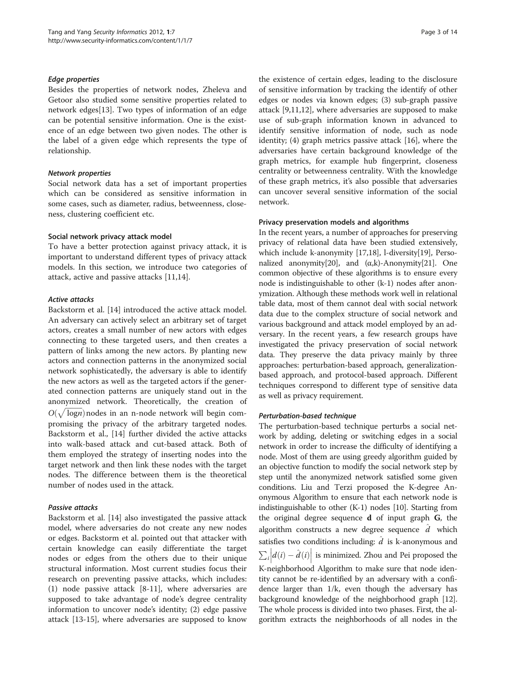## Edge properties

Besides the properties of network nodes, Zheleva and Getoor also studied some sensitive properties related to network edges[\[13](#page-12-0)]. Two types of information of an edge can be potential sensitive information. One is the existence of an edge between two given nodes. The other is the label of a given edge which represents the type of relationship.

#### Network properties

Social network data has a set of important properties which can be considered as sensitive information in some cases, such as diameter, radius, betweenness, closeness, clustering coefficient etc.

## Social network privacy attack model

To have a better protection against privacy attack, it is important to understand different types of privacy attack models. In this section, we introduce two categories of attack, active and passive attacks [[11,14\]](#page-12-0).

## Active attacks

Backstorm et al. [\[14](#page-12-0)] introduced the active attack model. An adversary can actively select an arbitrary set of target actors, creates a small number of new actors with edges connecting to these targeted users, and then creates a pattern of links among the new actors. By planting new actors and connection patterns in the anonymized social network sophisticatedly, the adversary is able to identify the new actors as well as the targeted actors if the generated connection patterns are uniquely stand out in the anonymized network. Theoretically, the creation of  $O(\sqrt{\log n})$  nodes in an n-node network will begin com-<br>promising the privacy of the exhiteny tergeted nodes promising the privacy of the arbitrary targeted nodes. Backstorm et al., [[14](#page-12-0)] further divided the active attacks into walk-based attack and cut-based attack. Both of them employed the strategy of inserting nodes into the target network and then link these nodes with the target nodes. The difference between them is the theoretical number of nodes used in the attack.

## Passive attacks

Backstorm et al. [\[14](#page-12-0)] also investigated the passive attack model, where adversaries do not create any new nodes or edges. Backstorm et al. pointed out that attacker with certain knowledge can easily differentiate the target nodes or edges from the others due to their unique structural information. Most current studies focus their research on preventing passive attacks, which includes: (1) node passive attack [[8-11\]](#page-12-0), where adversaries are supposed to take advantage of node's degree centrality information to uncover node's identity; (2) edge passive attack [\[13](#page-12-0)-[15](#page-12-0)], where adversaries are supposed to know the existence of certain edges, leading to the disclosure of sensitive information by tracking the identify of other edges or nodes via known edges; (3) sub-graph passive attack [\[9](#page-12-0),[11](#page-12-0),[12](#page-12-0)], where adversaries are supposed to make use of sub-graph information known in advanced to identify sensitive information of node, such as node identity; (4) graph metrics passive attack [\[16\]](#page-12-0), where the adversaries have certain background knowledge of the graph metrics, for example hub fingerprint, closeness centrality or betweenness centrality. With the knowledge of these graph metrics, it's also possible that adversaries can uncover several sensitive information of the social network.

#### Privacy preservation models and algorithms

In the recent years, a number of approaches for preserving privacy of relational data have been studied extensively, which include k-anonymity [\[17,](#page-12-0)[18](#page-13-0)], l-diversity[[19](#page-13-0)], Perso-nalized anonymity[[20](#page-13-0)], and  $(α,k)$ -Anonymity[\[21\]](#page-13-0). One common objective of these algorithms is to ensure every node is indistinguishable to other (k-1) nodes after anonymization. Although these methods work well in relational table data, most of them cannot deal with social network data due to the complex structure of social network and various background and attack model employed by an adversary. In the recent years, a few research groups have investigated the privacy preservation of social network data. They preserve the data privacy mainly by three approaches: perturbation-based approach, generalizationbased approach, and protocol-based approach. Different techniques correspond to different type of sensitive data as well as privacy requirement.

## Perturbation-based technique

The perturbation-based technique perturbs a social network by adding, deleting or switching edges in a social network in order to increase the difficulty of identifying a node. Most of them are using greedy algorithm guided by an objective function to modify the social network step by step until the anonymized network satisfied some given conditions. Liu and Terzi proposed the K-degree Anonymous Algorithm to ensure that each network node is indistinguishable to other (K-1) nodes [[10](#page-12-0)]. Starting from the original degree sequence  $d$  of input graph  $G$ , the algorithm constructs a new degree sequence  $\hat{d}$  which satisfies two conditions including:  $\hat{d}$  is k-anonymous and  $\sum_i \left| d(i) - \hat{d}(i) \right|$  is minimized. Zhou and Pei proposed the K-neighborhood Algorithm to make sure that node identity cannot be re-identified by an adversary with a confidence larger than 1/k, even though the adversary has background knowledge of the neighborhood graph [[12](#page-12-0)].

The whole process is divided into two phases. First, the algorithm extracts the neighborhoods of all nodes in the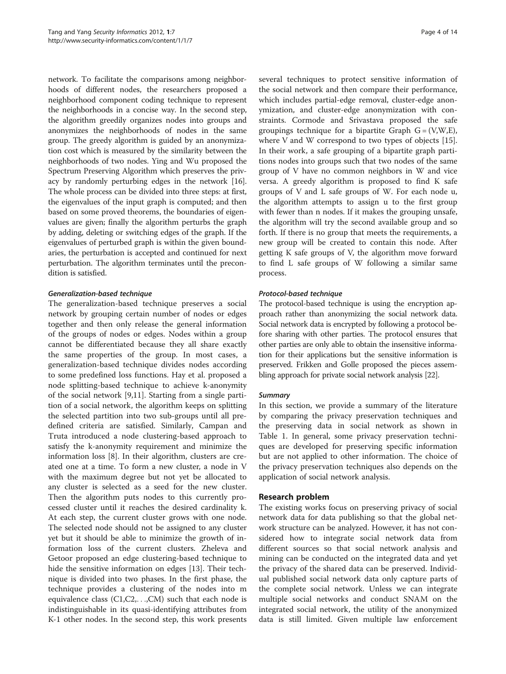network. To facilitate the comparisons among neighborhoods of different nodes, the researchers proposed a neighborhood component coding technique to represent the neighborhoods in a concise way. In the second step, the algorithm greedily organizes nodes into groups and anonymizes the neighborhoods of nodes in the same group. The greedy algorithm is guided by an anonymization cost which is measured by the similarity between the neighborhoods of two nodes. Ying and Wu proposed the Spectrum Preserving Algorithm which preserves the privacy by randomly perturbing edges in the network [[16](#page-12-0)]. The whole process can be divided into three steps: at first, the eigenvalues of the input graph is computed; and then based on some proved theorems, the boundaries of eigenvalues are given; finally the algorithm perturbs the graph by adding, deleting or switching edges of the graph. If the eigenvalues of perturbed graph is within the given boundaries, the perturbation is accepted and continued for next perturbation. The algorithm terminates until the precondition is satisfied.

## Generalization-based technique

The generalization-based technique preserves a social network by grouping certain number of nodes or edges together and then only release the general information of the groups of nodes or edges. Nodes within a group cannot be differentiated because they all share exactly the same properties of the group. In most cases, a generalization-based technique divides nodes according to some predefined loss functions. Hay et al. proposed a node splitting-based technique to achieve k-anonymity of the social network [[9,11\]](#page-12-0). Starting from a single partition of a social network, the algorithm keeps on splitting the selected partition into two sub-groups until all predefined criteria are satisfied. Similarly, Campan and Truta introduced a node clustering-based approach to satisfy the k-anonymity requirement and minimize the information loss [\[8](#page-12-0)]. In their algorithm, clusters are created one at a time. To form a new cluster, a node in V with the maximum degree but not yet be allocated to any cluster is selected as a seed for the new cluster. Then the algorithm puts nodes to this currently processed cluster until it reaches the desired cardinality k. At each step, the current cluster grows with one node. The selected node should not be assigned to any cluster yet but it should be able to minimize the growth of information loss of the current clusters. Zheleva and Getoor proposed an edge clustering-based technique to hide the sensitive information on edges [[13](#page-12-0)]. Their technique is divided into two phases. In the first phase, the technique provides a clustering of the nodes into m equivalence class  $(C1, C2, \ldots, CM)$  such that each node is indistinguishable in its quasi-identifying attributes from K-1 other nodes. In the second step, this work presents

several techniques to protect sensitive information of the social network and then compare their performance, which includes partial-edge removal, cluster-edge anonymization, and cluster-edge anonymization with constraints. Cormode and Srivastava proposed the safe groupings technique for a bipartite Graph  $G = (V, W, E)$ , where V and W correspond to two types of objects [\[15](#page-12-0)]. In their work, a safe grouping of a bipartite graph partitions nodes into groups such that two nodes of the same group of V have no common neighbors in W and vice versa. A greedy algorithm is proposed to find K safe groups of V and L safe groups of W. For each node u, the algorithm attempts to assign u to the first group with fewer than n nodes. If it makes the grouping unsafe, the algorithm will try the second available group and so forth. If there is no group that meets the requirements, a new group will be created to contain this node. After getting K safe groups of V, the algorithm move forward to find L safe groups of W following a similar same process.

## Protocol-based technique

The protocol-based technique is using the encryption approach rather than anonymizing the social network data. Social network data is encrypted by following a protocol before sharing with other parties. The protocol ensures that other parties are only able to obtain the insensitive information for their applications but the sensitive information is preserved. Frikken and Golle proposed the pieces assembling approach for private social network analysis [\[22\]](#page-13-0).

## **Summary**

In this section, we provide a summary of the literature by comparing the privacy preservation techniques and the preserving data in social network as shown in Table [1.](#page-4-0) In general, some privacy preservation techniques are developed for preserving specific information but are not applied to other information. The choice of the privacy preservation techniques also depends on the application of social network analysis.

## Research problem

The existing works focus on preserving privacy of social network data for data publishing so that the global network structure can be analyzed. However, it has not considered how to integrate social network data from different sources so that social network analysis and mining can be conducted on the integrated data and yet the privacy of the shared data can be preserved. Individual published social network data only capture parts of the complete social network. Unless we can integrate multiple social networks and conduct SNAM on the integrated social network, the utility of the anonymized data is still limited. Given multiple law enforcement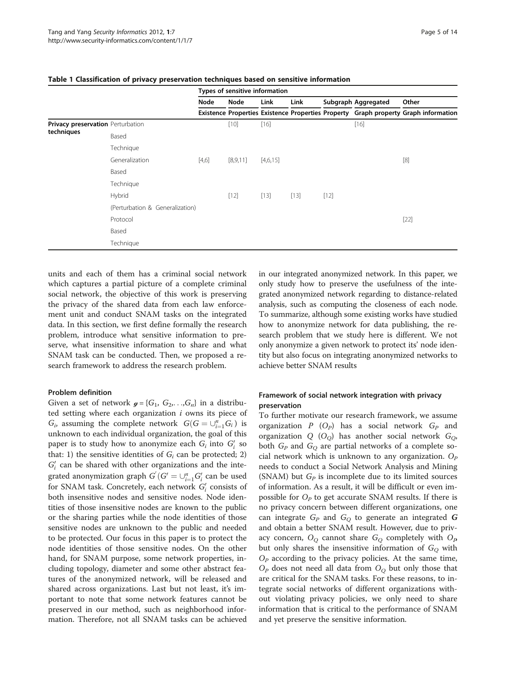|                                                 |                                 | Types of sensitive information |          |          |        |        |                     |                                                                                              |
|-------------------------------------------------|---------------------------------|--------------------------------|----------|----------|--------|--------|---------------------|----------------------------------------------------------------------------------------------|
|                                                 |                                 | Node                           | Node     | Link     | Link   |        | Subgraph Aggregated | Other<br>Existence Properties Existence Properties Property Graph property Graph information |
|                                                 |                                 |                                |          |          |        |        |                     |                                                                                              |
| Privacy preservation Perturbation<br>techniques |                                 |                                | $[10]$   | $[16]$   |        |        | $[16]$              |                                                                                              |
|                                                 | Based                           |                                |          |          |        |        |                     |                                                                                              |
|                                                 | Technique                       |                                |          |          |        |        |                     |                                                                                              |
|                                                 | Generalization                  | [4,6]                          | [8,9,11] | [4,6,15] |        |        |                     | $[8]$                                                                                        |
|                                                 | Based                           |                                |          |          |        |        |                     |                                                                                              |
|                                                 | Technique                       |                                |          |          |        |        |                     |                                                                                              |
|                                                 | Hybrid                          |                                | $[12]$   | $[13]$   | $[13]$ | $[12]$ |                     |                                                                                              |
|                                                 | (Perturbation & Generalization) |                                |          |          |        |        |                     |                                                                                              |
|                                                 | Protocol                        |                                |          |          |        |        |                     | $[22]$                                                                                       |
|                                                 | Based                           |                                |          |          |        |        |                     |                                                                                              |
|                                                 | Technique                       |                                |          |          |        |        |                     |                                                                                              |

## <span id="page-4-0"></span>Table 1 Classification of privacy preservation techniques based on sensitive information

units and each of them has a criminal social network which captures a partial picture of a complete criminal social network, the objective of this work is preserving the privacy of the shared data from each law enforcement unit and conduct SNAM tasks on the integrated data. In this section, we first define formally the research problem, introduce what sensitive information to preserve, what insensitive information to share and what SNAM task can be conducted. Then, we proposed a research framework to address the research problem.

#### Problem definition

Given a set of network  $g = \{G_1, G_2, \ldots, G_n\}$  in a distributed setting where each organization  $i$  owns its piece of  $G_i$ , assuming the complete network  $G(G = \bigcup_{i=1}^n G_i)$  is<br>unknown to each individual organization, the goal of this unknown to each individual organization, the goal of this paper is to study how to anonymize each  $G_i$  into  $G_i'$  so that: 1) the sensitive identities of  $G_i$  can be protected; 2)  $G_i'$  can be shared with other organizations and the integrated anonymization graph  $G'(G' = \bigcup_{i=1}^{n} G'_i$  can be used<br>for SNAM task. Concretely, each naturals  $G'$  consists of for SNAM task. Concretely, each network  $G_i'$  consists of both insensitive nodes and sensitive nodes. Node identities of those insensitive nodes are known to the public or the sharing parties while the node identities of those sensitive nodes are unknown to the public and needed to be protected. Our focus in this paper is to protect the node identities of those sensitive nodes. On the other hand, for SNAM purpose, some network properties, including topology, diameter and some other abstract features of the anonymized network, will be released and shared across organizations. Last but not least, it's important to note that some network features cannot be preserved in our method, such as neighborhood information. Therefore, not all SNAM tasks can be achieved

in our integrated anonymized network. In this paper, we only study how to preserve the usefulness of the integrated anonymized network regarding to distance-related analysis, such as computing the closeness of each node. To summarize, although some existing works have studied how to anonymize network for data publishing, the research problem that we study here is different. We not only anonymize a given network to protect its' node identity but also focus on integrating anonymized networks to achieve better SNAM results

## Framework of social network integration with privacy preservation

To further motivate our research framework, we assume organization  $P(O_p)$  has a social network  $G_p$  and organization  $Q(O<sub>O</sub>)$  has another social network  $G<sub>O</sub>$ , both  $G_p$  and  $G_Q$  are partial networks of a complete social network which is unknown to any organization.  $O_p$ needs to conduct a Social Network Analysis and Mining (SNAM) but  $G_P$  is incomplete due to its limited sources of information. As a result, it will be difficult or even impossible for  $O_P$  to get accurate SNAM results. If there is no privacy concern between different organizations, one can integrate  $G_P$  and  $G_Q$  to generate an integrated G and obtain a better SNAM result. However, due to privacy concern,  $O_O$  cannot share  $G_O$  completely with  $O_P$ but only shares the insensitive information of  $G<sub>O</sub>$  with  $O_P$  according to the privacy policies. At the same time,  $O_P$  does not need all data from  $O_Q$  but only those that are critical for the SNAM tasks. For these reasons, to integrate social networks of different organizations without violating privacy policies, we only need to share information that is critical to the performance of SNAM and yet preserve the sensitive information.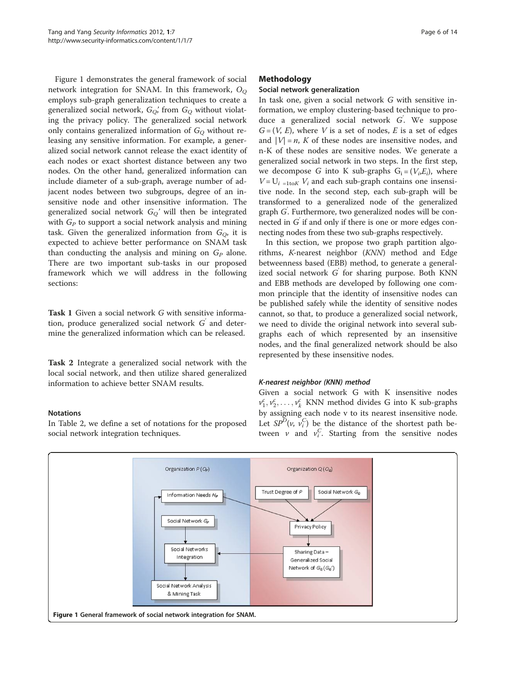Figure 1 demonstrates the general framework of social network integration for SNAM. In this framework,  $O<sub>O</sub>$ employs sub-graph generalization techniques to create a generalized social network,  $G_O$ ', from  $G_O$  without violating the privacy policy. The generalized social network only contains generalized information of  $G<sub>O</sub>$  without releasing any sensitive information. For example, a generalized social network cannot release the exact identity of each nodes or exact shortest distance between any two nodes. On the other hand, generalized information can include diameter of a sub-graph, average number of adjacent nodes between two subgroups, degree of an insensitive node and other insensitive information. The generalized social network  $G_O'$  will then be integrated with  $G_p$  to support a social network analysis and mining task. Given the generalized information from  $G<sub>O</sub>$ , it is expected to achieve better performance on SNAM task than conducting the analysis and mining on  $G_p$  alone. There are two important sub-tasks in our proposed framework which we will address in the following sections:

Task 1 Given a social network G with sensitive information, produce generalized social network G' and determine the generalized information which can be released.

Task 2 Integrate a generalized social network with the local social network, and then utilize shared generalized information to achieve better SNAM results.

## **Notations**

In Table [2,](#page-6-0) we define a set of notations for the proposed social network integration techniques.

## Methodology

## Social network generalization

In task one, given a social network G with sensitive information, we employ clustering-based technique to produce a generalized social network G' . We suppose  $G = (V, E)$ , where V is a set of nodes, E is a set of edges and  $|V| = n$ , K of these nodes are insensitive nodes, and n-K of these nodes are sensitive nodes. We generate a generalized social network in two steps. In the first step, we decompose G into K sub-graphs  $G_i = (V_i, E_i)$ , where  $V = U_i$ <sub>=1to</sub> $K$   $V_i$  and each sub-graph contains one insensitive node. In the second step, each sub-graph will be transformed to a generalized node of the generalized graph G' . Furthermore, two generalized nodes will be connected in G' if and only if there is one or more edges connecting nodes from these two sub-graphs respectively.

In this section, we propose two graph partition algorithms, K-nearest neighbor (KNN) method and Edge betweenness based (EBB) method, to generate a generalized social network  $G$  for sharing purpose. Both KNN and EBB methods are developed by following one common principle that the identity of insensitive nodes can be published safely while the identity of sensitive nodes cannot, so that, to produce a generalized social network, we need to divide the original network into several subgraphs each of which represented by an insensitive nodes, and the final generalized network should be also represented by these insensitive nodes.

## K-nearest neighbor (KNN) method

Given a social network G with K insensitive nodes  $v_1^c, v_2^c, \ldots, v_k^c$  KNN method divides G into K sub-graphs by assigning each node v to its nearest insensitive node. Let  $SP^{D}(\nu, \nu_i^C)$  be the distance of the shortest path between  $v$  and  $v_i^C$ . Starting from the sensitive nodes

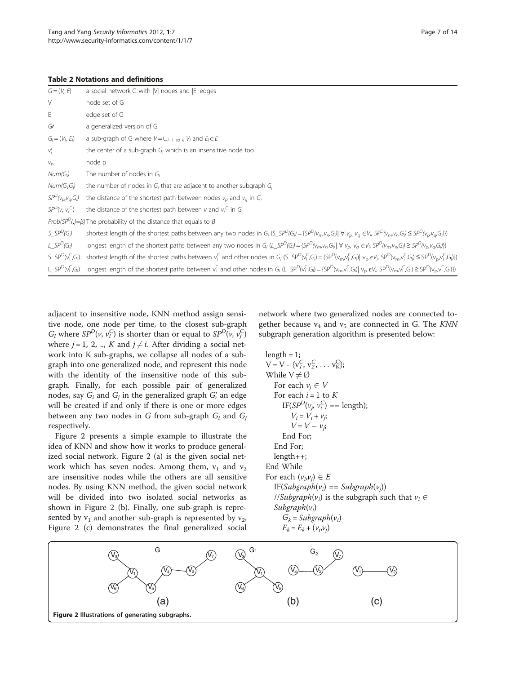<span id="page-6-0"></span>

| $G = (V, E)$                                                                                   | a social network G with  V  nodes and  E  edges                                                                                                                                                                                                                                                                                                                         |  |  |  |
|------------------------------------------------------------------------------------------------|-------------------------------------------------------------------------------------------------------------------------------------------------------------------------------------------------------------------------------------------------------------------------------------------------------------------------------------------------------------------------|--|--|--|
| $\vee$                                                                                         | node set of G                                                                                                                                                                                                                                                                                                                                                           |  |  |  |
| E                                                                                              | edge set of G                                                                                                                                                                                                                                                                                                                                                           |  |  |  |
| GI                                                                                             | a generalized version of G                                                                                                                                                                                                                                                                                                                                              |  |  |  |
| $G_i = (V_i, E_i)$                                                                             | a sub-graph of G where $V = \bigcup_{i=1}^{n} k V_i$ and $E_i \subset E$                                                                                                                                                                                                                                                                                                |  |  |  |
| $V_i^C$                                                                                        | the center of a sub-graph $G_i$ which is an insensitive node too                                                                                                                                                                                                                                                                                                        |  |  |  |
| $V_D$                                                                                          | node p                                                                                                                                                                                                                                                                                                                                                                  |  |  |  |
| $Num(G_i)$                                                                                     | The number of nodes in $G_i$                                                                                                                                                                                                                                                                                                                                            |  |  |  |
| $Num(G_i, G_i)$                                                                                | the number of nodes in $G_i$ that are adjacent to another subgraph $G_i$                                                                                                                                                                                                                                                                                                |  |  |  |
| $SP^{D}(V_{D}, V_{G}, G_{i})$                                                                  | the distance of the shortest path between nodes $v_p$ and $v_q$ in $G_i$                                                                                                                                                                                                                                                                                                |  |  |  |
| $SP^{D}(V, V_{i}^{C})$                                                                         | the distance of the shortest path between v and $v_i^C$ in $G_i$                                                                                                                                                                                                                                                                                                        |  |  |  |
| Prob(SP <sup>D</sup> ( $I$ )= $\beta$ ) The probability of the distance that equals to $\beta$ |                                                                                                                                                                                                                                                                                                                                                                         |  |  |  |
| $S\_SP^D(G_i)$                                                                                 | shortest length of the shortest paths between any two nodes in $G_i$ (S_SP <sup>D</sup> (G <sub>i</sub> ) = {SP <sup>D</sup> (V <sub>pr</sub> , V <sub>n</sub> G <sub>i</sub> )   $\forall$ V <sub>p</sub> , V <sub>a</sub> ∈V <sub>i</sub> , SP <sup>D</sup> (V <sub>p</sub> , V <sub>n</sub> G)   SP <sup>D</sup> (V <sub>p</sub> , V <sub>a</sub> G <sub>i</sub> )}) |  |  |  |
| $L\_SP^D(G_i)$                                                                                 | longest length of the shortest paths between any two nodes in G <sub>i</sub> (L_SP <sup>D</sup> (G <sub>i</sub> ) = {SP <sup>D</sup> (V <sub>D</sub> ,V <sub>D</sub> ,G <sub>i</sub> )] $\forall v_a$ , $v_a \in V_i$ , SP <sup>D</sup> (V <sub>D</sub> ,V <sub>D</sub> ,G <sub>i</sub> ) ≥ SP <sup>D</sup> (V <sub>D</sub> ,V <sub>a</sub> G <sub>i</sub> )})          |  |  |  |
| $S\_SP^D(v_i^C, G_i)$                                                                          | shortest length of the shortest paths between $v_i^C$ and other nodes in $G_i$ (S_SP <sup>D</sup> ( $v_i^C$ ,G <sub>i</sub> ) = {SP <sup>D</sup> ( $v_m$ , $v_i^C$ ,G <sub>i</sub> ) $V_p$ , $\epsilon V_i$ , $SP^D(v_m v_i^C$ ,G <sub>i</sub> ) $\leq$ SP <sup>D</sup> ( $v_p$ , $v_i^C$ ,G <sub>i</sub> ))                                                            |  |  |  |
| $L\_SP^D(v_i^C, G_i)$                                                                          | longest length of the shortest paths between $v_i^C$ and other nodes in $G_i$ (L_SP <sup>D</sup> ( $v_i^C$ ,G <sub>i</sub> ) = {SP <sup>D</sup> ( $v_m$ , $v_i^C$ ,G <sub>i</sub> )) $V_p$ <b>e</b> $V_i$ , $SP^D(v_m v_i^C$ ,G <sub>i</sub> ) $\geq$ SP <sup>D</sup> ( $v_p$ , $v_i^C$ ,G <sub>i</sub> ))                                                              |  |  |  |

adjacent to insensitive node, KNN method assign sensitive node, one node per time, to the closest sub-graph  $G_i$  where  $SP^D(\nu, \nu_i^C)$  is shorter than or equal to  $SP^D(\nu, \nu_j^C)$ where  $j = 1, 2, ...$ , K and  $j \neq i$ . After dividing a social network into K sub-graphs, we collapse all nodes of a subgraph into one generalized node, and represent this node with the identity of the insensitive node of this subgraph. Finally, for each possible pair of generalized nodes, say  $G_i$  and  $G_j$  in the generalized graph  $G'_i$  an edge will be created if and only if there is one or more edges between any two nodes in G from sub-graph  $G_i$  and  $G_j$ respectively.

Figure 2 presents a simple example to illustrate the idea of KNN and show how it works to produce generalized social network. Figure 2 (a) is the given social network which has seven nodes. Among them,  $v_1$  and  $v_2$ are insensitive nodes while the others are all sensitive nodes. By using KNN method, the given social network will be divided into two isolated social networks as shown in Figure 2 (b). Finally, one sub-graph is represented by  $v_1$  and another sub-graph is represented by  $v_2$ , Figure 2 (c) demonstrates the final generalized social network where two generalized nodes are connected together because  $v_4$  and  $v_5$  are connected in G. The KNN subgraph generation algorithm is presented below:

length = 1;  
\n
$$
V = V - \{v_i^C, v_2^C, \dots v_K^C\};
$$
  
\nWhile  $V \neq \emptyset$   
\nFor each  $v_j \in V$   
\nFor each  $i = 1$  to  $K$   
\nIf  $(SP^D(v_p, v_i^C) =$  length);  
\n $V_i = V_i + v_j$   
\n $V = V - v_j$   
\nEnd For;  
\nLength++;  
\nEnd While  
\nFor each  $(v_i v_j) \in E$   
\nIf  $(Subgraph(v_i) = = Subgraph(v_j))$   
\n// Subgraph(v\_i) is the subgraph such that  $v_i \in$   
\nSubgraph(v\_i)  
\n $G_k = Subgraph(v_i)$   
\n $E_k = E_k + (v_i v_j)$ 

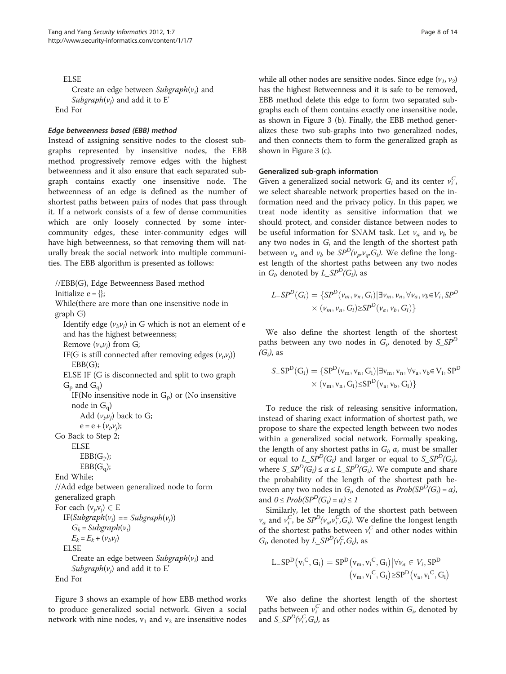ELSE Create an edge between  $Subgraph(v_i)$  and S*ubgraph*( $v_j$ ) and add it to E'<br>For End For

## Edge betweenness based (EBB) method

Instead of assigning sensitive nodes to the closest subgraphs represented by insensitive nodes, the EBB method progressively remove edges with the highest betweenness and it also ensure that each separated subgraph contains exactly one insensitive node. The betweenness of an edge is defined as the number of shortest paths between pairs of nodes that pass through it. If a network consists of a few of dense communities which are only loosely connected by some intercommunity edges, these inter-community edges will have high betweenness, so that removing them will naturally break the social network into multiple communities. The EBB algorithm is presented as follows:

//EBB(G), Edge Betweenness Based method Initialize  $e = \{\}$ ;

While(there are more than one insensitive node in graph G)

Identify edge  $(v_i,v_j)$  in G which is not an element of e and has the highest betweenness;

Remove  $(v_i,v_j)$  from G;

IF(G is still connected after removing edges  $(v_i, v_i)$ )  $EBB(G);$ 

ELSE IF (G is disconnected and split to two graph  $G_p$  and  $G_q$ )

IF(No insensitive node in  $G_p$ ) or (No insensitive node in  $G_q$ )

Add  $(v_i,v_j)$  back to G;  $e = e + (v_i, v_j);$ Go Back to Step 2; ELSE  $EBB(G_P);$  $EBB(G<sub>a</sub>)$ ; End While; //Add edge between generalized node to form generalized graph For each  $(v_j, v_j) \in E$ <br>  $IF(Subgraph(v_i))$  $IF(Subgraph(v_i) == Subgraph(v_i))$  $G_k = Subgraph(v_i)$  $E_k = E_k + (v_i, v_j)$ ELSE Create an edge between  $Subgraph(v_i)$  and Subgraph( $v_j$ ) and add it to E' End For

Figure [3](#page-8-0) shows an example of how EBB method works to produce generalized social network. Given a social network with nine nodes,  $v_1$  and  $v_2$  are insensitive nodes while all other nodes are sensitive nodes. Since edge  $(v_1, v_2)$ has the highest Betweenness and it is safe to be removed, EBB method delete this edge to form two separated subgraphs each of them contains exactly one insensitive node, as shown in Figure [3](#page-8-0) (b). Finally, the EBB method generalizes these two sub-graphs into two generalized nodes, and then connects them to form the generalized graph as shown in Figure [3](#page-8-0) (c).

## Generalized sub-graph information

Given a generalized social network  $G_i$  and its center  $v_i^C$ , we select shareable network properties based on the information need and the privacy policy. In this paper, we treat node identity as sensitive information that we should protect, and consider distance between nodes to be useful information for SNAM task. Let  $v_a$  and  $v_b$  be any two nodes in  $G_i$  and the length of the shortest path between  $v_a$  and  $v_b$  be  $SP^D(v_{p\cdot}v_{q\cdot}G_i)$ . We define the longest length of the shortest paths between any two nodes in  $G_i$ , denoted by  $L\_SP^D(G_i)$ , as

$$
L\_SP^D(G_i) = \{SP^D(\nu_m, \nu_n, G_i) | \exists \nu_m, \nu_n, \forall \nu_a, \nu_b \in V_i, SP^D \times (\nu_m, \nu_n, G_i) \} \times \{ \nu_m, G_i \} \times \{ \nu_m, G_i \} \}
$$

We also define the shortest length of the shortest paths between any two nodes in  $G_i$ , denoted by  $S\_SP^D$  $(G_i)$ , as

$$
S\_SP^D(G_i) = \{SP^D(v_m, v_n, G_i) | \exists v_m, v_n, \forall v_a, v_b \in V_i, SP^D \times (v_m, v_n, G_i) \le SP^D(v_a, v_b, G_i) \}
$$

To reduce the risk of releasing sensitive information, instead of sharing exact information of shortest path, we propose to share the expected length between two nodes within a generalized social network. Formally speaking, the length of any shortest paths in  $G_i$ ,  $\alpha$ , must be smaller or equal to  $L\_SP^D(G_i)$  and larger or equal to  $S\_SP^D(G_i)$ , where  $S\_SP^D(G_i) \leq \alpha \leq L\_SP^D(G_i)$ . We compute and share the probability of the length of the shortest path between any two nodes in  $G_i$ , denoted as  $Prob(SP^D(G_i) = \alpha)$ , and  $0 \le Prob(SP^D(G_i) = \alpha) \le 1$ 

Similarly, let the length of the shortest path between  $v_a$  and  $v_i^C$ , be  $SP^D(v_a v_i^C, G_i)$ . We define the longest length of the shortest paths between  $v_i^C$  and other nodes within  $G_i$ , denoted by  $L\_SP^D(v_i^C, G_i)$ , as

$$
\begin{aligned} \text{L\_SP}^{\text{D}}\big(\text{v}_{i}^{\text{C}},\text{G}_{i}\big) = \text{SP}^{\text{D}}\big(\text{v}_{m},\text{v}_{i}^{\text{C}},\text{G}_{i}\big) \big|\forall \text{v}_{a} \in V_{i}, \text{SP}^{\text{D}} \\ \big(\text{v}_{m},\text{v}_{i}^{\text{C}},\text{G}_{i}\big) \text{~$&$>SP}^{\text{D}}\big(\text{v}_{a},\text{v}_{i}^{\text{C}},\text{G}_{i}\big) \end{aligned}
$$

We also define the shortest length of the shortest paths between  $v_i^C$  and other nodes within  $G_i$ , denoted by and  $S\_SP^D(v_i^C, G_i)$ , as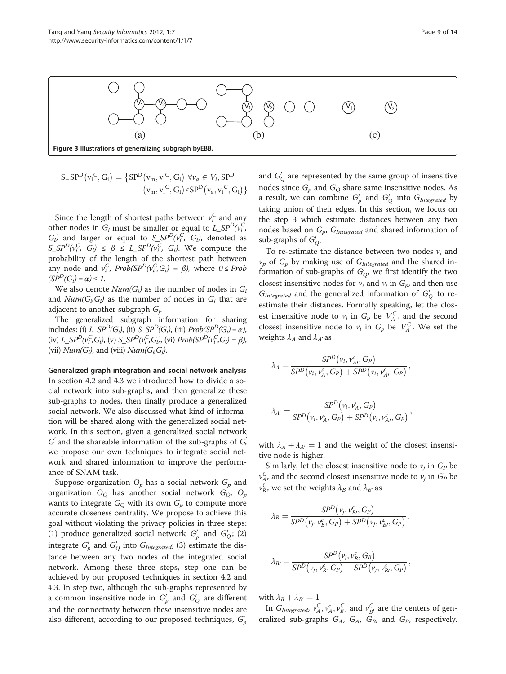<span id="page-8-0"></span>

$$
S\_SP^D(v_i^C, G_i) = \left\{ SP^D(v_m, v_i^C, G_i) \middle| \forall v_a \in V_i, SP^D(v_a, v_i^C, G_i) \right\}
$$

$$
(v_m, v_i^C, G_i) \le SP^D(v_a, v_i^C, G_i)
$$

Since the length of shortest paths between  $v_i^C$  and any other nodes in  $G_i$  must be smaller or equal to  $L\_SP^D(v_i^C)$ ,  $G_i$ ) and larger or equal to  $S\_SP^D(v_i^C, G_i)$ , denoted as  $S\_SP^D(v_i^C, G_i) \leq \beta \leq L\_SP^D(v_i^C, G_i)$ . We compute the probability of the length of the shortest path between any node and  $v_i^C$ ,  $Prob(SP^D(v_i^C, G_i) = \beta)$ , where  $0 \le Prob$  $(SP^D(G_i) = \alpha) \leq 1.$ 

We also denote  $Num(G_i)$  as the number of nodes in  $G_i$ and  $Num(G_i, G_j)$  as the number of nodes in  $G_i$  that are adjacent to another subgraph  $G_i$ .

The generalized subgraph information for sharing includes: (i)  $L\_SP^D(G_i)$ , (ii)  $S\_SP^D(G_i)$ , (iii)  $Prob(SP^D(G_i) = \alpha)$ , (iv)  $L\_SP^D(v_i^C, G_i)$ , (v)  $S\_SP^D(v_i^C, G_i)$ , (vi)  $Prob(SP^D(v_i^C, G_i) = \beta)$ , (vii)  $Num(G_i)$ , and (viii)  $Num(G_i, G_j)$ .

Generalized graph integration and social network analysis In section 4.2 and 4.3 we introduced how to divide a social network into sub-graphs, and then generalize these sub-graphs to nodes, then finally produce a generalized social network. We also discussed what kind of information will be shared along with the generalized social network. In this section, given a generalized social network  $G$  and the shareable information of the sub-graphs of  $G$ , we propose our own techniques to integrate social network and shared information to improve the performance of SNAM task.

Suppose organization  $O_p$  has a social network  $G_p$  and organization  $O_O$  has another social network  $G_O$ ,  $O_p$ wants to integrate  $G_Q$  with its own  $G_p$  to compute more accurate closeness centrality. We propose to achieve this goal without violating the privacy policies in three steps: (1) produce generalized social network  $G'_p$  and  $G'_{Q}$ ; (2) integrate  $G'_p$  and  $G'_Q$  into  $G_{Integrated}$ ; (3) estimate the distance between any two nodes of the integrated social network. Among these three steps, step one can be achieved by our proposed techniques in section 4.2 and 4.3. In step two, although the sub-graphs represented by a common insensitive node in  $G'_p$  and  $G'_Q$  are different and the connectivity between these insensitive nodes are also different, according to our proposed techniques,  $G^{\prime}_p$ 

and  $G'_{Q}$  are represented by the same group of insensitive nodes since  $G_p$  and  $G_Q$  share same insensitive nodes. As a result, we can combine  $G'_p$  and  $G'_Q$  into  $G_{\text{Integrated}}$  by taking union of their edges. In this section, we focus on the step 3 which estimate distances between any two nodes based on  $G_p$ ,  $G_{\text{Integrated}}$  and shared information of sub-graphs of  $G'_Q$ .

To re-estimate the distance between two nodes  $v_i$  and  $v_p$  of  $G_p$  by making use of  $G<sub>Interacted</sub>$  and the shared information of sub-graphs of  $G'_{Q}$ , we first identify the two closest insensitive nodes for  $v_i$  and  $v_j$  in  $G_p$ , and then use  $G_{\text{Integrated}}$  and the generalized information of  $G'_{Q}$  to reestimate their distances. Formally speaking, let the closest insensitive node to  $v_i$  in  $G_p$  be  $V_A^C$ , and the second closest insensitive node to  $v_i$  in  $G_p$  be  $V_A^C$ . We set the weights  $\lambda_A$  and  $\lambda_{A'}$  as

$$
\lambda_A = \frac{SP^D(v_i, v_A^c, G_P)}{SP^D(v_i, v_A^c, G_P) + SP^D(v_i, v_{A'}^c, G_P)},
$$
  

$$
\lambda_{A'} = \frac{SP^D(v_i, v_A^c, G_P)}{SP^D(v_i, v_A^c, G_P) + SP^D(v_i, v_{A'}^c, G_P)},
$$

with  $\lambda_A + \lambda_{A'} = 1$  and the weight of the closest insensitive node is higher.

Similarly, let the closest insensitive node to  $v_i$  in  $G_P$  be  $v_A^C$ , and the second closest insensitive node to  $v_j$  in  $G_P$  be  $v_B^C$ , we set the weights  $\lambda_B$  and  $\lambda_{B'}$  as

$$
\lambda_B = \frac{SP^D(v_j, v_{B}^c, G_P)}{SP^D(v_j, v_B^c, G_P) + SP^D(v_j, v_{B}^c, G_P)},
$$

$$
\lambda_{B'}=\frac{SP^D(v_j,v_B^c,G_B)}{SP^D(v_j,v_B^c,G_P)+SP^D(v_j,v_{B'}^c,G_P)},
$$

with  $\lambda_B + \lambda_{B'} = 1$ 

In  $G_{\text{Integrated}}$ ,  $v_A^C$ ,  $v_A^C$ ,  $v_B^C$ , and  $v_B^C$  are the centers of generalized sub-graphs  $G_A$ ,  $G_A$ ,  $G_B$ , and  $G_B$ , respectively.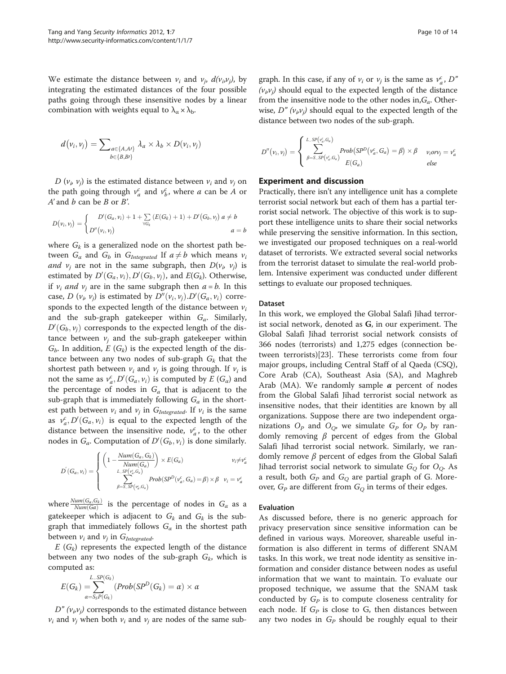We estimate the distance between  $v_i$  and  $v_i$ ,  $d(v_i,v_j)$ , by integrating the estimated distances of the four possible paths going through these insensitive nodes by a linear combination with weights equal to  $\lambda_{\alpha} \times \lambda_{\alpha}$ .

$$
d(v_i, v_j) = \sum_{\substack{a \in \{A, A\} \\ b \in \{B, B\}}} \lambda_a \times \lambda_b \times D(v_i, v_j)
$$

D ( $v_i$ ,  $v_j$ ) is the estimated distance between  $v_i$  and  $v_j$  on the path going through  $v_a^c$  and  $v_b^c$ , where a can be A or  $A'$  and  $b$  can be  $B$  or  $B'$ .

$$
D(v_i, v_j) = \begin{cases} D'(G_a, v_i) + 1 + \sum_{\forall G_k} (E(G_k) + 1) + D'(G_b, v_j) \ a \neq b \\ D''(v_i, v_j) \end{cases} \quad a = b
$$

where  $G_k$  is a generalized node on the shortest path between  $G_{\alpha}$  and  $G_{b}$  in  $G_{\text{Integrated}}$  If  $a \neq b$  which means  $v_{i}$ and  $v_i$  are not in the same subgraph, then  $D(v_i, v_j)$  is estimated by  $D'(G_a, v_i)$ ,  $D'(G_b, v_j)$ , and  $E(G_k)$ . Otherwise,<br>if y and y are in the same subgraph than  $a = h$ . In this if  $v_i$  and  $v_j$  are in the same subgraph then  $a = b$ . In this case, D  $(v_i, v_j)$  is estimated by  $D''(v_i, v_j)$ . $D'(G_a, v_i)$  corresponds to the expected length of the distance between  $v_i$ and the sub-graph gatekeeper within  $G_{\alpha}$ . Similarly,  $D'(G_b, v_j)$  corresponds to the expected length of the dis-<br>tance between  $v_i$  and the sub-graph atteleeper within tance between  $v_i$  and the sub-graph gatekeeper within  $G_b$ . In addition,  $E(G_k)$  is the expected length of the distance between any two nodes of sub-graph  $G_k$  that the shortest path between  $v_i$  and  $v_j$  is going through. If  $v_i$  is not the same as  $v_a^c$ ,  $D'(G_a, v_i)$  is computed by  $E(G_\alpha)$  and<br>the percentage of podes in  $G$ , that is adjacent to the the percentage of nodes in  $G_a$  that is adjacent to the sub-graph that is immediately following  $G_a$  in the shortest path between  $v_i$  and  $v_j$  in  $G_{\text{Integrated}}$ . If  $v_i$  is the same as  $v_a^c, D'(G_a, v_i)$  is equal to the expected length of the distance between the inconsisting node  $v_c^c$  to the other distance between the insensitive node,  $v_a^c$ , to the other nodes in  $G_a$ . Computation of  $D'(G_b, v_i)$  is done similarly.

$$
D^{'}(G_{a}, v_{i}) = \begin{cases} \left(1 - \frac{Num(G_{a}, G_{k})}{Num(G_{a})}\right) \times E(G_{a}) & v_{i} \neq v_{a}^{c} \\ \sum_{L \subseteq SP(v_{a}^{c}, G_{a})} Prob(SP^{D}(v_{a}^{c}, G_{a}) = \beta) \times \beta & v_{i} = v_{a}^{c} \\ \sum_{\beta = S \subseteq SP(v_{a}^{c}, G_{a})} Prob(SP^{D}(v_{a}^{c}, G_{a}) = \beta) \times \beta & v_{i} = v_{a}^{c} \end{cases}
$$

where  $\frac{Num(G_a, G_k)}{Num(G_a)}$  is the percentage of nodes in  $G_\alpha$  as a gatekeeper which is adjacent to  $G_k$  and  $G_k$  is the subgraph that immediately follows  $G_{\alpha}$  in the shortest path between  $v_i$  and  $v_j$  in  $G_{\text{Integrated}}$ .

 $E(G_k)$  represents the expected length of the distance between any two nodes of the sub-graph  $G_k$ , which is computed as:

$$
E(G_k) = \sum_{\alpha = S_S P(G_k)}^{L\_SP(G_k)} (Prob(SP^D(G_k) = \alpha) \times \alpha
$$

 $D''(v_i,v_j)$  corresponds to the estimated distance between  $v_i$  and  $v_j$  when both  $v_i$  and  $v_j$  are nodes of the same subgraph. In this case, if any of  $v_i$  or  $v_j$  is the same as  $v_a^c$ ,  $D^x$  $(v_i, v_j)$  should equal to the expected length of the distance from the insensitive node to the other nodes in, $G_{\alpha}$ . Otherwise,  $D''(v_i,v_j)$  should equal to the expected length of the distance between two nodes of the sub-graph.

$$
D''(v_i, v_j) = \begin{cases} L \cdot SP(v_a^c, G_a) \\ \sum_{\beta=S \cdot SP(v_a^c, G_a)} Prob(SP^D(v_a^c, G_a) = \beta) \times \beta & v_i \text{or } v_j = v_a^c \\ E(G_a) & else \end{cases}
$$

#### Experiment and discussion

Practically, there isn't any intelligence unit has a complete terrorist social network but each of them has a partial terrorist social network. The objective of this work is to support these intelligence units to share their social networks while preserving the sensitive information. In this section, we investigated our proposed techniques on a real-world dataset of terrorists. We extracted several social networks from the terrorist dataset to simulate the real-world problem. Intensive experiment was conducted under different settings to evaluate our proposed techniques.

## Dataset

In this work, we employed the Global Salafi Jihad terrorist social network, denoted as G, in our experiment. The Global Salafi Jihad terrorist social network consists of 366 nodes (terrorists) and 1,275 edges (connection between terrorists)[[23](#page-13-0)]. These terrorists come from four major groups, including Central Staff of al Qaeda (CSQ), Core Arab (CA), Southeast Asia (SA), and Maghreb Arab (MA). We randomly sample  $\alpha$  percent of nodes from the Global Salafi Jihad terrorist social network as insensitive nodes, that their identities are known by all organizations. Suppose there are two independent organizations  $O_P$  and  $O_O$ , we simulate  $G_P$  for  $O_P$  by randomly removing  $β$  percent of edges from the Global Salafi Jihad terrorist social network. Similarly, we randomly remove  $β$  percent of edges from the Global Salafi Jihad terrorist social network to simulate  $G_Q$  for  $O_Q$ . As a result, both  $G_P$  and  $G_Q$  are partial graph of G. Moreover,  $G_P$  are different from  $G_Q$  in terms of their edges.

#### Evaluation

As discussed before, there is no generic approach for privacy preservation since sensitive information can be defined in various ways. Moreover, shareable useful information is also different in terms of different SNAM tasks. In this work, we treat node identity as sensitive information and consider distance between nodes as useful information that we want to maintain. To evaluate our proposed technique, we assume that the SNAM task conducted by  $G_P$  is to compute closeness centrality for each node. If  $G_p$  is close to G, then distances between any two nodes in  $G_P$  should be roughly equal to their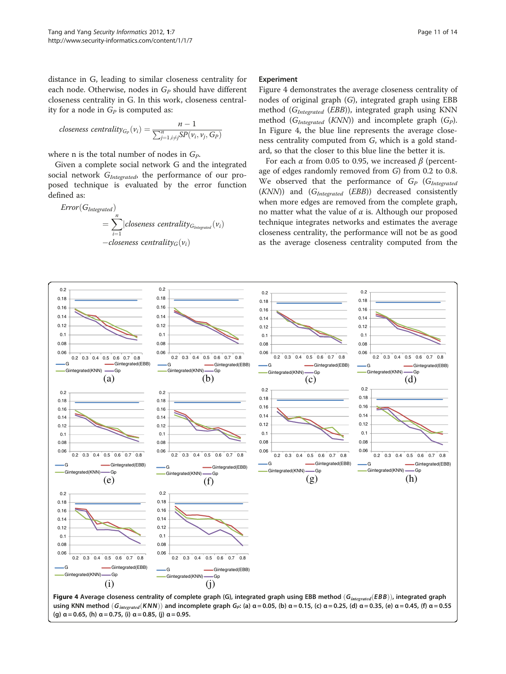<span id="page-10-0"></span>distance in G, leading to similar closeness centrality for each node. Otherwise, nodes in  $G_p$  should have different closeness centrality in G. In this work, closeness centrality for a node in  $G_P$  is computed as:

*closeness centrality*<sub>*G<sub>p</sub>*</sub>(*v<sub>i</sub>*) = 
$$
\frac{n-1}{\sum_{j=1, i\neq j}^{n} SP(v_i, v_j, G_P)}
$$

where n is the total number of nodes in  $G_p$ .

Given a complete social network G and the integrated social network  $G<sub>Integrated</sub>$ , the performance of our proposed technique is evaluated by the error function defined as:

 $Error(G_{Integrated})$  $=\sum_{i=1}^{n} |closeness \; centrality_{G_{Integrated}}(v_i)|$  $-$ closeness centrality<sub>G</sub> $(v_i)$ 

#### Experiment

Figure 4 demonstrates the average closeness centrality of nodes of original graph (G), integrated graph using EBB method (G<sub>Integrated</sub> (EBB)), integrated graph using KNN method  $(G<sub>Interrated</sub> (KNN))$  and incomplete graph  $(G<sub>P</sub>)$ . In Figure 4, the blue line represents the average closeness centrality computed from G, which is a gold standard, so that the closer to this blue line the better it is.

For each  $\alpha$  from 0.05 to 0.95, we increased  $\beta$  (percentage of edges randomly removed from G) from 0.2 to 0.8. We observed that the performance of  $G_p$  ( $G_{\text{Interrated}}$  $(KNN)$ ) and  $(G<sub>Interrated</sub> (EBB))$  decreased consistently when more edges are removed from the complete graph, no matter what the value of  $\alpha$  is. Although our proposed technique integrates networks and estimates the average closeness centrality, the performance will not be as good as the average closeness centrality computed from the

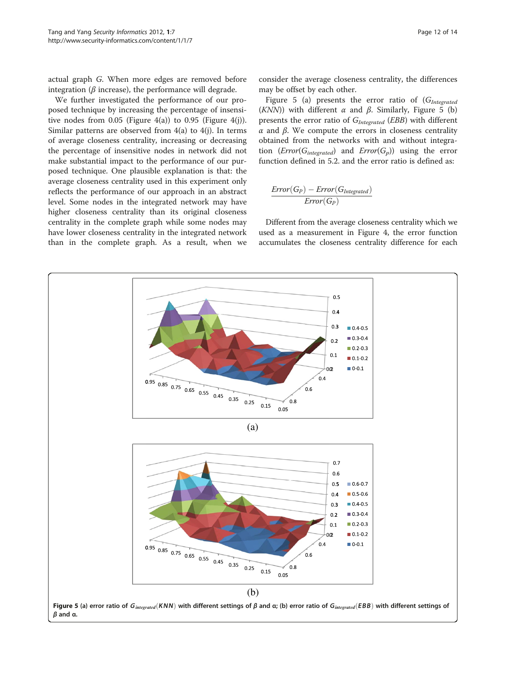<span id="page-11-0"></span>actual graph G. When more edges are removed before integration ( $\beta$  increase), the performance will degrade.

We further investigated the performance of our proposed technique by increasing the percentage of insensi-tive nodes from 0.05 (Figure [4\(a\)\)](#page-10-0) to 0.95 (Figure [4\(j\)](#page-10-0)). Similar patterns are observed from 4(a) to 4(j). In terms of average closeness centrality, increasing or decreasing the percentage of insensitive nodes in network did not make substantial impact to the performance of our purposed technique. One plausible explanation is that: the average closeness centrality used in this experiment only reflects the performance of our approach in an abstract level. Some nodes in the integrated network may have higher closeness centrality than its original closeness centrality in the complete graph while some nodes may have lower closeness centrality in the integrated network than in the complete graph. As a result, when we consider the average closeness centrality, the differences may be offset by each other.

Figure 5 (a) presents the error ratio of  $(G<sub>Integrated</sub>)$ (KNN)) with different  $\alpha$  and  $\beta$ . Similarly, Figure 5 (b) presents the error ratio of  $G<sub>Interacted</sub>$  (EBB) with different α and β. We compute the errors in closeness centrality obtained from the networks with and without integration (*Error*( $G<sub>integrated</sub>$ ) and *Error*( $G<sub>p</sub>$ )) using the error function defined in 5.2. and the error ratio is defined as:

$$
\frac{Error(G_P) - Error(G_{Integrated})}{Error(G_P)}
$$

Different from the average closeness centrality which we used as a measurement in Figure [4](#page-10-0), the error function accumulates the closeness centrality difference for each

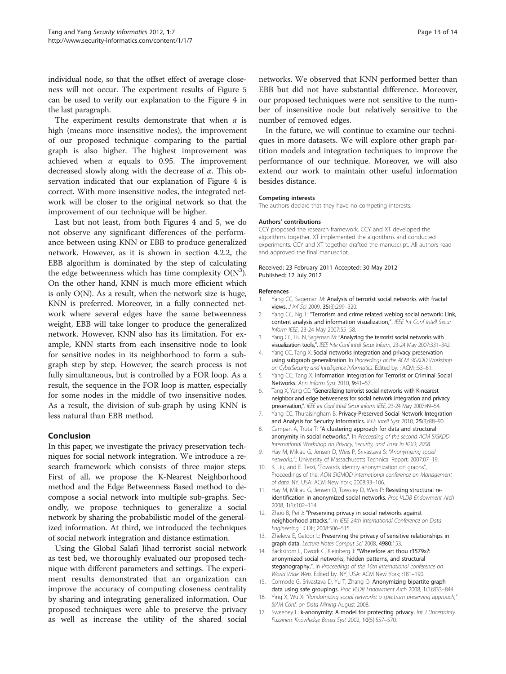<span id="page-12-0"></span>individual node, so that the offset effect of average closeness will not occur. The experiment results of Figure [5](#page-11-0) can be used to verify our explanation to the Figure [4](#page-10-0) in the last paragraph.

The experiment results demonstrate that when  $\alpha$  is high (means more insensitive nodes), the improvement of our proposed technique comparing to the partial graph is also higher. The highest improvement was achieved when  $\alpha$  equals to 0.95. The improvement decreased slowly along with the decrease of  $\alpha$ . This observation indicated that our explanation of Figure [4](#page-10-0) is correct. With more insensitive nodes, the integrated network will be closer to the original network so that the improvement of our technique will be higher.

Last but not least, from both Figures [4](#page-10-0) and [5,](#page-11-0) we do not observe any significant differences of the performance between using KNN or EBB to produce generalized network. However, as it is shown in section 4.2.2, the EBB algorithm is dominated by the step of calculating the edge betweenness which has time complexity  $O(N^3)$ . On the other hand, KNN is much more efficient which is only O(N). As a result, when the network size is huge, KNN is preferred. Moreover, in a fully connected network where several edges have the same betweenness weight, EBB will take longer to produce the generalized network. However, KNN also has its limitation. For example, KNN starts from each insensitive node to look for sensitive nodes in its neighborhood to form a subgraph step by step. However, the search process is not fully simultaneous, but is controlled by a FOR loop. As a result, the sequence in the FOR loop is matter, especially for some nodes in the middle of two insensitive nodes. As a result, the division of sub-graph by using KNN is less natural than EBB method.

## Conclusion

In this paper, we investigate the privacy preservation techniques for social network integration. We introduce a research framework which consists of three major steps. First of all, we propose the K-Nearest Neighborhood method and the Edge Betweenness Based method to decompose a social network into multiple sub-graphs. Secondly, we propose techniques to generalize a social network by sharing the probabilistic model of the generalized information. At third, we introduced the techniques of social network integration and distance estimation.

Using the Global Salafi Jihad terrorist social network as test bed, we thoroughly evaluated our proposed technique with different parameters and settings. The experiment results demonstrated that an organization can improve the accuracy of computing closeness centrality by sharing and integrating generalized information. Our proposed techniques were able to preserve the privacy as well as increase the utility of the shared social networks. We observed that KNN performed better than EBB but did not have substantial difference. Moreover, our proposed techniques were not sensitive to the number of insensitive node but relatively sensitive to the number of removed edges.

In the future, we will continue to examine our techniques in more datasets. We will explore other graph partition models and integration techniques to improve the performance of our technique. Moreover, we will also extend our work to maintain other useful information besides distance.

## Competing interests

The authors declare that they have no competing interests.

#### Authors' contributions

CCY proposed the research framework. CCY and XT developed the algorithms together. XT implemented the algorithms and conducted experiments. CCY and XT together drafted the manuscript. All authors read and approved the final manuscript.

#### Received: 23 February 2011 Accepted: 30 May 2012 Published: 12 July 2012

#### References

- 1. Yang CC, Sageman M: Analysis of terrorist social networks with fractal views. J Inf Sci 2009, 35(3):299–320.
- 2. Yang CC, Ng T: "Terrorism and crime related weblog social network: Link, content analysis and information visualization,". IEEE Int Conf Intell Secur Inform IEEE, 23-24 May 2007:55–58.
- Yang CC, Liu N, Sageman M: "Analyzing the terrorist social networks with visualization tools,". IEEE Inte Conf Intell Secur Inform, 23-24 May 2007:331–342.
- 4. Yang CC, Tang X: Social networks integration and privacy preservation using subgraph generalization. In Proceedings of the ACM SIGKDD Workshop on CyberSecurity and Intelligence Informatics. Edited by. : ACM; :53–61.
- 5. Yang CC, Tang X: Information Integration for Terrorist or Criminal Social Networks. Ann Inform Syst 2010, 9:41–57.
- 6. Tang X, Yang CC: "Generalizing terrorist social networks with K-nearest neighbor and edge betweeness for social network integration and privacy preservation,". IEEE Int Conf Intell Secur Inform IEEE, 23-24 May 2007:49-54.
- 7. Yang CC, Thuraisingham B: Privacy-Preserved Social Network Integration and Analysis for Security Informatics. IEEE Intell Syst 2010, 25(3):88-90.
- 8. Campan A, Truta T: "A clustering approach for data and structural anonymity in social networks,". In Proceeding of the second ACM SIGKDD International Workshop on Privacy, Security, and Trust in KDD; 2008.
- 9. Hay M, Miklau G, Jensen D, Weis P, Srivastava S: "Anonymizing social networks,".: University of Massachusetts Technical Report; 2007:07–19.
- 10. K. Liu, and E. Terzi, "Towards identity anonymization on graphs", Proceedings of the: ACM SIGMOD international conference on Management of data. NY, USA: ACM New York; 2008:93–106.
- 11. Hay M, Miklau G, Jensen D, Towsley D, Weis P: Resisting structural reidentification in anonymized social networks. Proc VLDB Endowment Arch 2008, 1(1):102–114.
- 12. Zhou B, Pei J: "Preserving privacy in social networks against neighborhood attacks,". In IEEE 24th International Conference on Data Engineering.: ICDE; 2008:506–515.
- 13. Zheleva E, Getoor L: Preserving the privacy of sensitive relationships in graph data. Lecture Notes Comput Sci 2008, 4980:153.
- 14. Backstrom L, Dwork C, Kleinberg J: "Wherefore art thou r3579x?: anonymized social networks, hidden patterns, and structural steganography,". In Proceedings of the 16th international conference on World Wide Web. Edited by. NY, USA: ACM New York; :181–190.
- 15. Cormode G, Srivastava D, Yu T, Zhang Q: Anonymizing bipartite graph data using safe groupings. Proc VLDB Endowment Arch 2008, 1(1):833–844.
- 16. Ying X, Wu X: "Randomizing social networks: a spectrum preserving approach," SIAM Conf. on Data Mining August 2008.
- 17. Sweeney L: k-anonymity: A model for protecting privacy. Int J Uncertainty Fuzziness Knowledge Based Syst 2002, 10(5):557–570.